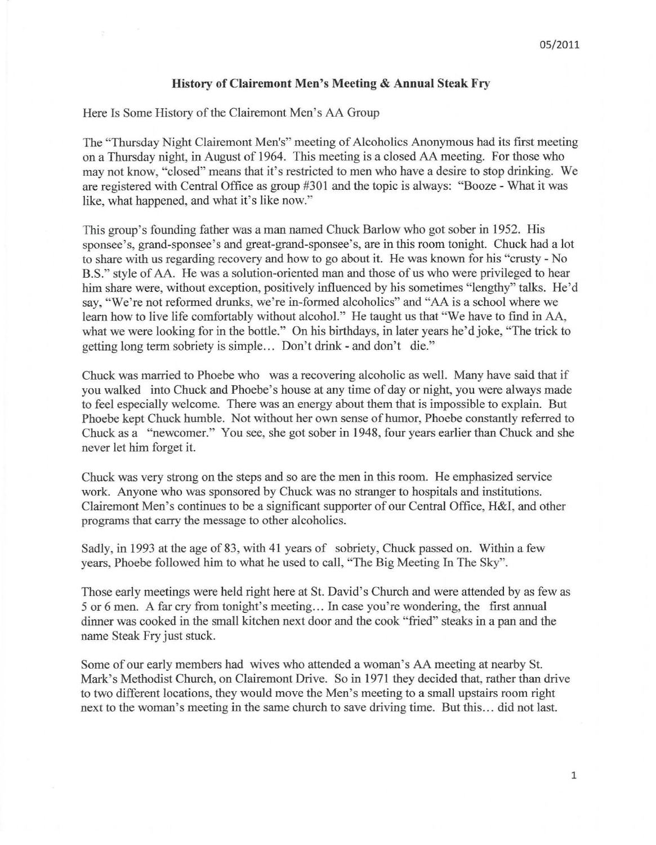## **History of Clairemont Men's Meeting & Annual Steak Fry**

Here Is Some History of the Clairemont Men's AA Group

The "Thursday Night Clairemont Men's" meeting of Alcoholics Anonymous had its first meeting on a Thursday night, in August of 1964. This meeting is a closed AA meeting. For those who may not know, "closed" means that it's restricted to men who have a desire to stop drinking. We are registered with Central Office as group #301 and the topic is always: "Booze- What it was like, what happened, and what it's like now."

This group's founding father was a man named Chuck Barlow who got sober in 1952. His sponsee's, grand-sponsee's and great-grand-sponsee's, are in this room tonight. Chuck had a lot to share with us regarding recovery and how to go about it. He was known for his "crusty - No B.S." style of AA. He was a solution-oriented man and those of us who were privileged to hear him share were, without exception, positively influenced by his sometimes "lengthy" talks. He'd say, "We're not reformed drunks, we're in-formed alcoholics" and "AA is a school where we learn how to live life comfortably without alcohol." He taught us that "We have to fmd in AA, what we were looking for in the bottle." On his birthdays, in later years he'd joke, "The trick to getting long term sobriety is simple... Don't drink - and don't die."

Chuck was married to Phoebe who was a recovering alcoholic as well. Many have said that if you walked into Chuck and Phoebe's house at any time of day or night, you were always made to feel especially welcome. There was an energy about them that is impossible to explain. But Phoebe kept Chuck humble. Not without her own sense of humor, Phoebe constantly referred to Chuck as a "newcomer." You see, she got sober in 1948, four years earlier than Chuck and she never let him forget it.

Chuck was very strong on the steps and so are the men in this room. He emphasized service work. Anyone who was sponsored by Chuck was no stranger to hospitals and institutions. Clairemont Men's continues to be a significant supporter of our Central Office, H&I, and other programs that carry the message to other alcoholics.

Sadly, in 1993 at the age of 83, with 41 years of sobriety, Chuck passed on. Within a few years, Phoebe followed him to what he used to call, "The Big Meeting In The Sky".

Those early meetings were held right here at St. David's Church and were attended by as few as 5 or 6 men. A far cry from tonight's meeting... In case you're wondering, the first annual dinner was cooked in the small kitchen next door and the cook "fried" steaks in a pan and the name Steak Fry just stuck.

Some of our early members had wives who attended a woman's AA meeting at nearby St. Mark's Methodist Church, on Clairemont Drive. So in 1971 they decided that, rather than drive to two different locations, they would move the Men's meeting to a small upstairs room right next to the woman's meeting in the same church to save driving time. But this ... did not last.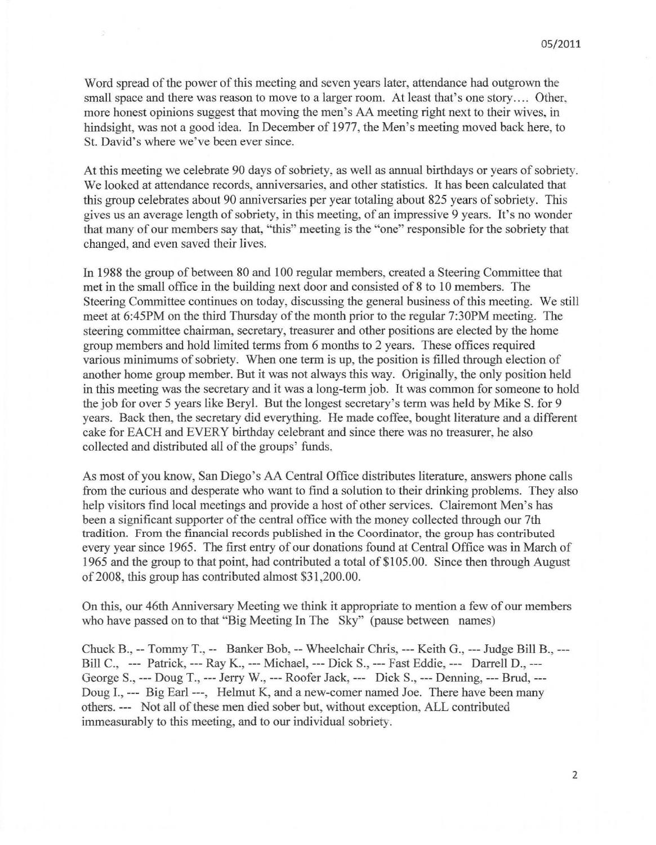Word spread of the power of this meeting and seven years later, attendance had outgrown the small space and there was reason to move to a larger room. At least that's one story.... Other, more honest opinions suggest that moving the men's AA meeting right next to their wives, in hindsight, was not a good idea. In December of 1977, the Men's meeting moved back here, to St. David's where we've been ever since.

At this meeting we celebrate 90 days of sobriety, as well as annual birthdays or years of sobriety. We looked at attendance records, anniversaries, and other statistics. It has been calculated that this group celebrates about 90 anniversaries per year totaling about 825 years of sobriety. This gives us an average length of sobriety, in this meeting, of an impressive 9 years. It's no wonder that many of our members say that, "this" meeting is the "one" responsible for the sobriety that changed, and even saved their lives.

In 1988 the group of between 80 and 100 regular members, created a Steering Committee that met in the small office in the building next door and consisted of 8 to 10 members. The Steering Committee continues on today, discussing the general business of this meeting. We still meet at 6:45PM on the third Thursday of the month prior to the regular 7:30PM meeting. The steering committee chairman, secretary, treasurer and other positions are elected by the home group members and hold limited terms from 6 months to 2 years. These offices required various minimums of sobriety. When one term is up, the position is filled through election of another home group member. But it was not always this way. Originally, the only position held in this meeting was the secretary and it was a long-term job. It was common for someone to hold the job for over 5 years like Beryl. But the longest secretary's term was held by Mike S. for 9 years. Back then, the secretary did everything. He made coffee, bought literature and a different cake for EACH and EVERY birthday celebrant and since there was no treasurer, he also collected and distributed all of the groups' funds.

As most of you know, San Diego's AA Central Office distributes literature, answers phone calls from the curious and desperate who want to find a solution to their drinking problems. They also help visitors find local meetings and provide a host of other services. Clairemont Men's has been a significant supporter of the central office with the money collected through our 7th tradition. From the financial records published in the Coordinator, the group has contributed every year since 1965. The first entry of our donations found at Central Office was in March of 1965 and the group to that point, had contributed a total of \$105.00. Since then through August of2008, this group has contributed almost \$31 ,200.00.

On this, our 46th Anniversary Meeting we think it appropriate to mention a few of our members who have passed on to that "Big Meeting In The Sky" (pause between names)

Chuck B., --Tommy T., -- Banker Bob, --Wheelchair Chris, ---Keith G., --- Judge Bill B., --- Bill C., --- Patrick, --- Ray K., --- Michael, --- Dick S., --- Fast Eddie, --- Darrell D., ---George S., --- Doug T., --- Jerry W., --- Roofer Jack, --- Dick S., --- Denning, --- Brud, ---Doug I., --- Big Earl ---, Helmut K, and a new-comer named Joe. There have been many others. --- Not all ofthese men died sober but, without exception, ALL contributed immeasurably to this meeting, and to our individual sobriety.